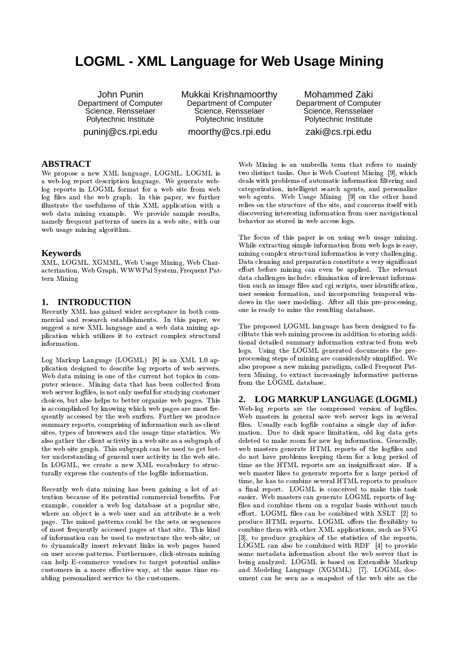# **LOGML - XML Language for Web Usage Mining**

John Punin Department of Computer Science, Rensselaer Polytechnic Institute punini@cs.rpi.edu

Mukkai Krishnamoorthy Department of Computer Science, Rensselaer Polytechnic Institute moorthy@cs.rpi.edu

Mohammed Zaki Department of Computer Science, Rensselaer Polytechnic Institute zaki@cs.rpi.edu

# **ABSTRACT**

We propose a new XML language, LOGML. LOGML is a web-log report description language. We generate weblog reports in LOGML format for a web site from web log files and the web graph. In this paper, we further illustrate the usefulness of this XML application with a web data mining example. We provide sample results, namely frequent patterns of users in a web site, with our web usage mining algorithm.

### **Keywords**

XML, LOGML, XGMML, Web Usage Mining, Web Characterization, Web Graph, WWWPal System, Frequent Pattern Mining

#### **INTRODUCTION** 1.

Recently XML has gained wider acceptance in both commercial and research establishments. In this paper, we suggest a new XML language and a web data mining application which utilizes it to extract complex structural information.

Log Markup Language (LOGML) [8] is an XML 1.0 application designed to describe log reports of web servers. Web data mining is one of the current hot topics in computer science. Mining data that has been collected from web server logfiles, is not only useful for studying customer choices, but also helps to better organize web pages. This is accomplished by knowing which web pages are most frequently accessed by the web surfers. Further we produce summary reports, comprising of information such as client sites, types of browsers and the usage time statistics. We also gather the client activity in a web site as a subgraph of the web site graph. This subgraph can be used to get better understanding of general user activity in the web site. In LOGML, we create a new XML vocabulary to structurally express the contents of the logfile information.

Recently web data mining has been gaining a lot of attention because of its potential commercial benefits. For example, consider a web log database at a popular site, where an object is a web user and an attribute is a web page. The mined patterns could be the sets or sequences of most frequently accessed pages at that site. This kind of information can be used to restructure the web-site, or to dynamically insert relevant links in web pages based on user access patterns. Furthermore, click-stream mining can help E-commerce vendors to target potential online customers in a more effective way, at the same time enabling personalized service to the customers.

Web Mining is an umbrella term that refers to mainly two distinct tasks. One is Web Content Mining [9], which deals with problems of automatic information filtering and categorization, intelligent search agents, and personalize web agents. Web Usage Mining [9] on the other hand relies on the structure of the site, and concerns itself with discovering interesting information from user navigational behavior as stored in web access logs.

The focus of this paper is on using web usage mining. While extracting simple information from web logs is easy, mining complex structural information is very challenging. Data cleaning and preparation constitute a very significant effort before mining can even be applied. The relevant data challenges include: elimination of irrelevant information such as image files and cgi scripts, user identification, user session formation, and incorporating temporal windows in the user modeling. After all this pre-processing, one is ready to mine the resulting database.

The proposed LOGML language has been designed to facilitate this web mining process in addition to storing additional detailed summary information extracted from web logs. Using the LOGML generated documents the preprocessing steps of mining are considerably simplified. We also propose a new mining paradigm, called Frequent Pattern Mining, to extract increasingly informative patterns from the LOGML database.

# 2. LOG MARKUP LANGUAGE (LOGML)

Web-log reports are the compressed version of logfiles. Web masters in general save web server logs in several files. Usually each logfile contains a single day of information. Due to disk space limitation, old log data gets deleted to make room for new log information. Generally, web masters generate HTML reports of the logfiles and do not have problems keeping them for a long period of time as the HTML reports are an insignificant size. If a web master likes to generate reports for a large period of time, he has to combine several HTML reports to produce a final report. LOGML is conceived to make this task easier. Web masters can generate LOGML reports of logfiles and combine them on a regular basis without much effort. LOGML files can be combined with XSLT [2] to produce HTML reports. LOGML offers the flexibility to combine them with other XML applications, such as SVG [3], to produce graphics of the statistics of the reports. LOGML can also be combined with RDF [4] to provide some metadata information about the web server that is being analyzed. LOGML is based on Extensible Markup and Modeling Language (XGMML) [7]. LOGML document can be seen as a snapshot of the web site as the